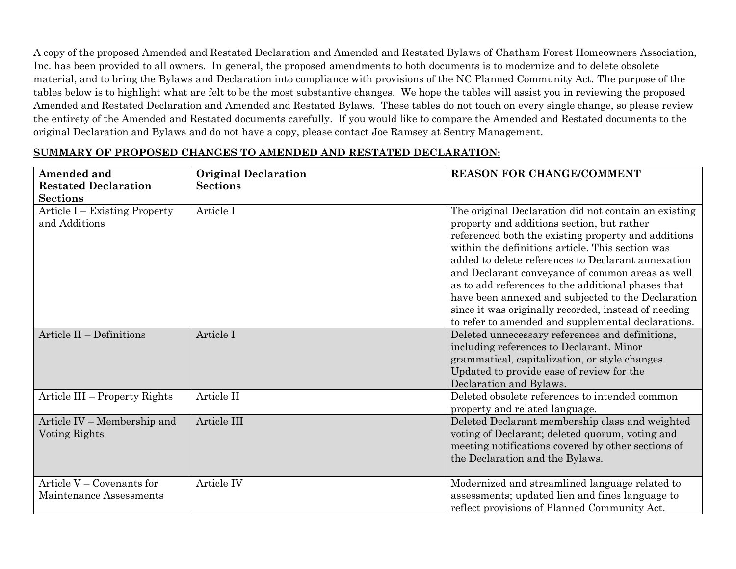A copy of the proposed Amended and Restated Declaration and Amended and Restated Bylaws of Chatham Forest Homeowners Association, Inc. has been provided to all owners. In general, the proposed amendments to both documents is to modernize and to delete obsolete material, and to bring the Bylaws and Declaration into compliance with provisions of the NC Planned Community Act. The purpose of the tables below is to highlight what are felt to be the most substantive changes. We hope the tables will assist you in reviewing the proposed Amended and Restated Declaration and Amended and Restated Bylaws. These tables do not touch on every single change, so please review the entirety of the Amended and Restated documents carefully. If you would like to compare the Amended and Restated documents to the original Declaration and Bylaws and do not have a copy, please contact Joe Ramsey at Sentry Management.

| Amended and<br><b>Restated Declaration</b><br><b>Sections</b> | <b>Original Declaration</b><br><b>Sections</b> | <b>REASON FOR CHANGE/COMMENT</b>                                                                                                                                                                                                                                                                                                                                                                                                                                                                                                                  |
|---------------------------------------------------------------|------------------------------------------------|---------------------------------------------------------------------------------------------------------------------------------------------------------------------------------------------------------------------------------------------------------------------------------------------------------------------------------------------------------------------------------------------------------------------------------------------------------------------------------------------------------------------------------------------------|
| Article I – Existing Property<br>and Additions                | Article I                                      | The original Declaration did not contain an existing<br>property and additions section, but rather<br>referenced both the existing property and additions<br>within the definitions article. This section was<br>added to delete references to Declarant annexation<br>and Declarant conveyance of common areas as well<br>as to add references to the additional phases that<br>have been annexed and subjected to the Declaration<br>since it was originally recorded, instead of needing<br>to refer to amended and supplemental declarations. |
| Article II - Definitions                                      | Article I                                      | Deleted unnecessary references and definitions,<br>including references to Declarant. Minor<br>grammatical, capitalization, or style changes.<br>Updated to provide ease of review for the<br>Declaration and Bylaws.                                                                                                                                                                                                                                                                                                                             |
| Article III – Property Rights                                 | Article II                                     | Deleted obsolete references to intended common<br>property and related language.                                                                                                                                                                                                                                                                                                                                                                                                                                                                  |
| Article IV – Membership and<br>Voting Rights                  | Article III                                    | Deleted Declarant membership class and weighted<br>voting of Declarant; deleted quorum, voting and<br>meeting notifications covered by other sections of<br>the Declaration and the Bylaws.                                                                                                                                                                                                                                                                                                                                                       |
| Article $V -$ Covenants for<br>Maintenance Assessments        | Article IV                                     | Modernized and streamlined language related to<br>assessments; updated lien and fines language to<br>reflect provisions of Planned Community Act.                                                                                                                                                                                                                                                                                                                                                                                                 |

## **SUMMARY OF PROPOSED CHANGES TO AMENDED AND RESTATED DECLARATION:**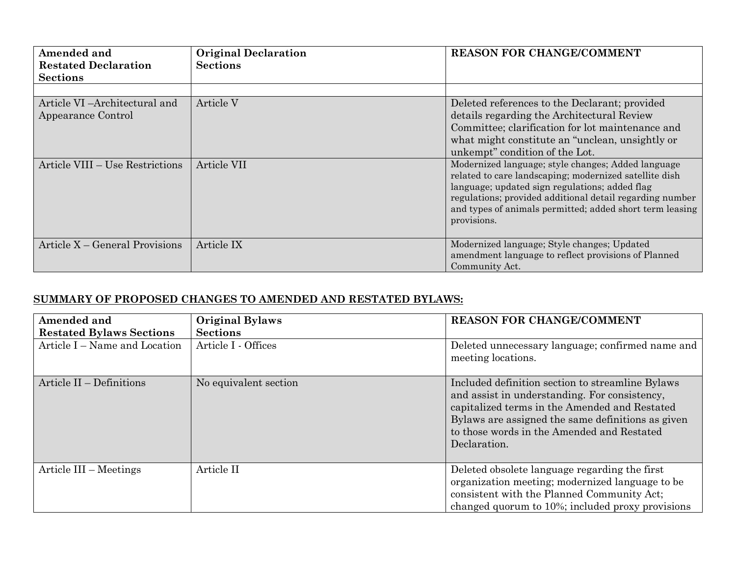| Amended and<br><b>Restated Declaration</b><br><b>Sections</b> | <b>Original Declaration</b><br><b>Sections</b> | <b>REASON FOR CHANGE/COMMENT</b>                                                                                                                                                                                                                                                                      |
|---------------------------------------------------------------|------------------------------------------------|-------------------------------------------------------------------------------------------------------------------------------------------------------------------------------------------------------------------------------------------------------------------------------------------------------|
|                                                               |                                                |                                                                                                                                                                                                                                                                                                       |
| Article VI – Architectural and<br>Appearance Control          | Article V                                      | Deleted references to the Declarant; provided<br>details regarding the Architectural Review<br>Committee; clarification for lot maintenance and<br>what might constitute an "unclean, unsightly or<br>unkempt" condition of the Lot.                                                                  |
| Article VIII – Use Restrictions                               | Article VII                                    | Modernized language; style changes; Added language<br>related to care landscaping; modernized satellite dish<br>language; updated sign regulations; added flag<br>regulations; provided additional detail regarding number<br>and types of animals permitted; added short term leasing<br>provisions. |
| Article X – General Provisions                                | Article IX                                     | Modernized language; Style changes; Updated<br>amendment language to reflect provisions of Planned<br>Community Act.                                                                                                                                                                                  |

## **SUMMARY OF PROPOSED CHANGES TO AMENDED AND RESTATED BYLAWS:**

| Amended and<br><b>Restated Bylaws Sections</b> | <b>Original Bylaws</b><br><b>Sections</b> | <b>REASON FOR CHANGE/COMMENT</b>                                                                                                                                                                                                                                      |
|------------------------------------------------|-------------------------------------------|-----------------------------------------------------------------------------------------------------------------------------------------------------------------------------------------------------------------------------------------------------------------------|
| Article I – Name and Location                  | Article I - Offices                       | Deleted unnecessary language; confirmed name and<br>meeting locations.                                                                                                                                                                                                |
| Article II - Definitions                       | No equivalent section                     | Included definition section to streamline Bylaws<br>and assist in understanding. For consistency,<br>capitalized terms in the Amended and Restated<br>Bylaws are assigned the same definitions as given<br>to those words in the Amended and Restated<br>Declaration. |
| Article III - Meetings                         | Article II                                | Deleted obsolete language regarding the first<br>organization meeting; modernized language to be<br>consistent with the Planned Community Act;<br>changed quorum to 10%; included proxy provisions                                                                    |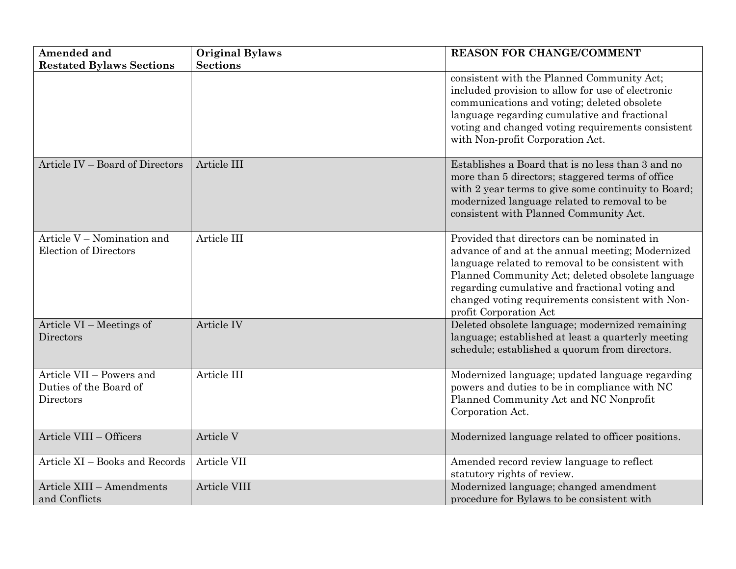| <b>Amended and</b>                                              | <b>Original Bylaws</b> | <b>REASON FOR CHANGE/COMMENT</b>                                                                                                                                                                                                                                                                                                         |
|-----------------------------------------------------------------|------------------------|------------------------------------------------------------------------------------------------------------------------------------------------------------------------------------------------------------------------------------------------------------------------------------------------------------------------------------------|
| <b>Restated Bylaws Sections</b>                                 | <b>Sections</b>        |                                                                                                                                                                                                                                                                                                                                          |
|                                                                 |                        | consistent with the Planned Community Act;<br>included provision to allow for use of electronic<br>communications and voting; deleted obsolete<br>language regarding cumulative and fractional<br>voting and changed voting requirements consistent<br>with Non-profit Corporation Act.                                                  |
| Article IV – Board of Directors                                 | Article III            | Establishes a Board that is no less than 3 and no<br>more than 5 directors; staggered terms of office<br>with 2 year terms to give some continuity to Board;<br>modernized language related to removal to be<br>consistent with Planned Community Act.                                                                                   |
| Article V - Nomination and<br><b>Election of Directors</b>      | Article III            | Provided that directors can be nominated in<br>advance of and at the annual meeting; Modernized<br>language related to removal to be consistent with<br>Planned Community Act; deleted obsolete language<br>regarding cumulative and fractional voting and<br>changed voting requirements consistent with Non-<br>profit Corporation Act |
| Article VI – Meetings of<br>Directors                           | Article IV             | Deleted obsolete language; modernized remaining<br>language; established at least a quarterly meeting<br>schedule; established a quorum from directors.                                                                                                                                                                                  |
| Article VII - Powers and<br>Duties of the Board of<br>Directors | Article III            | Modernized language; updated language regarding<br>powers and duties to be in compliance with NC<br>Planned Community Act and NC Nonprofit<br>Corporation Act.                                                                                                                                                                           |
| Article VIII - Officers                                         | Article V              | Modernized language related to officer positions.                                                                                                                                                                                                                                                                                        |
| Article XI - Books and Records                                  | Article VII            | Amended record review language to reflect<br>statutory rights of review.                                                                                                                                                                                                                                                                 |
| Article XIII - Amendments<br>and Conflicts                      | Article VIII           | Modernized language; changed amendment<br>procedure for Bylaws to be consistent with                                                                                                                                                                                                                                                     |